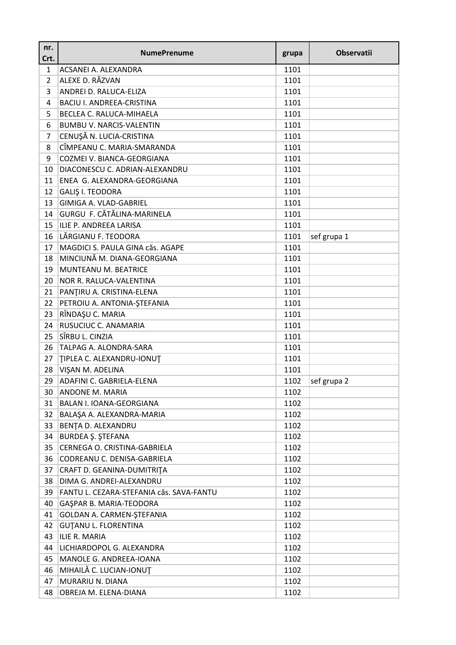| nr.<br>Crt.    | <b>NumePrenume</b>                       | grupa | <b>Observatii</b> |
|----------------|------------------------------------------|-------|-------------------|
| 1              | ACSANEI A. ALEXANDRA                     | 1101  |                   |
| $\overline{2}$ | ALEXE D. RĂZVAN                          | 1101  |                   |
| 3              | ANDREI D. RALUCA-ELIZA                   | 1101  |                   |
| 4              | <b>BACIU I. ANDREEA-CRISTINA</b>         | 1101  |                   |
| 5              | BECLEA C. RALUCA-MIHAELA                 | 1101  |                   |
| 6              | <b>BUMBU V. NARCIS-VALENTIN</b>          | 1101  |                   |
| $\overline{7}$ | CENUȘĂ N. LUCIA-CRISTINA                 | 1101  |                   |
| 8              | CÎMPEANU C. MARIA-SMARANDA               | 1101  |                   |
| 9              | COZMEI V. BIANCA-GEORGIANA               | 1101  |                   |
| 10             | DIACONESCU C. ADRIAN-ALEXANDRU           | 1101  |                   |
| 11             | ENEA G. ALEXANDRA-GEORGIANA              | 1101  |                   |
| 12             | <b>GALIŞ I. TEODORA</b>                  | 1101  |                   |
| 13             | GIMIGA A. VLAD-GABRIEL                   | 1101  |                   |
| 14             | GURGU F. CĂTĂLINA-MARINELA               | 1101  |                   |
| 15             | ILIE P. ANDREEA LARISA                   | 1101  |                   |
| 16             | LĂRGIANU F. TEODORA                      | 1101  | sef grupa 1       |
| 17             | MAGDICI S. PAULA GINA căs. AGAPE         | 1101  |                   |
| 18             | MINCIUNĂ M. DIANA-GEORGIANA              | 1101  |                   |
| 19             | MUNTEANU M. BEATRICE                     | 1101  |                   |
| 20             | NOR R. RALUCA-VALENTINA                  | 1101  |                   |
| 21             | PANȚIRU A. CRISTINA-ELENA                | 1101  |                   |
| 22             | PETROIU A. ANTONIA-ȘTEFANIA              | 1101  |                   |
| 23             | RÎNDAŞU C. MARIA                         | 1101  |                   |
| 24             | RUSUCIUC C. ANAMARIA                     | 1101  |                   |
| 25             | SÎRBU L. CINZIA                          | 1101  |                   |
| 26             | TALPAG A. ALONDRA-SARA                   | 1101  |                   |
| 27             | TIPLEA C. ALEXANDRU-IONUT                | 1101  |                   |
| 28             | VIŞAN M. ADELINA                         | 1101  |                   |
| 29             | ADAFINI C. GABRIELA-ELENA                | 1102  | sef grupa 2       |
| 30             | <b>ANDONE M. MARIA</b>                   | 1102  |                   |
| 31             | BALAN I. IOANA-GEORGIANA                 | 1102  |                   |
| 32             | BALAŞA A. ALEXANDRA-MARIA                | 1102  |                   |
| 33             | BENȚA D. ALEXANDRU                       | 1102  |                   |
| 34             | BURDEA Ş. ŞTEFANA                        | 1102  |                   |
| 35             | CERNEGA O. CRISTINA-GABRIELA             | 1102  |                   |
| 36             | CODREANU C. DENISA-GABRIELA              | 1102  |                   |
| 37             | CRAFT D. GEANINA-DUMITRITA               | 1102  |                   |
| 38             | DIMA G. ANDREI-ALEXANDRU                 | 1102  |                   |
| 39             | FANTU L. CEZARA-STEFANIA căs. SAVA-FANTU | 1102  |                   |
| 40             | GAŞPAR B. MARIA-TEODORA                  | 1102  |                   |
| 41             | GOLDAN A. CARMEN-STEFANIA                | 1102  |                   |
| 42             | <b>GUTANU L. FLORENTINA</b>              | 1102  |                   |
| 43             | ILIE R. MARIA                            | 1102  |                   |
| 44             | LICHIARDOPOL G. ALEXANDRA                | 1102  |                   |
| 45             | MANOLE G. ANDREEA-IOANA                  | 1102  |                   |
| 46             | MIHAILĂ C. LUCIAN-IONUȚ                  | 1102  |                   |
| 47             | MURARIU N. DIANA                         | 1102  |                   |
| 48             | OBREJA M. ELENA-DIANA                    | 1102  |                   |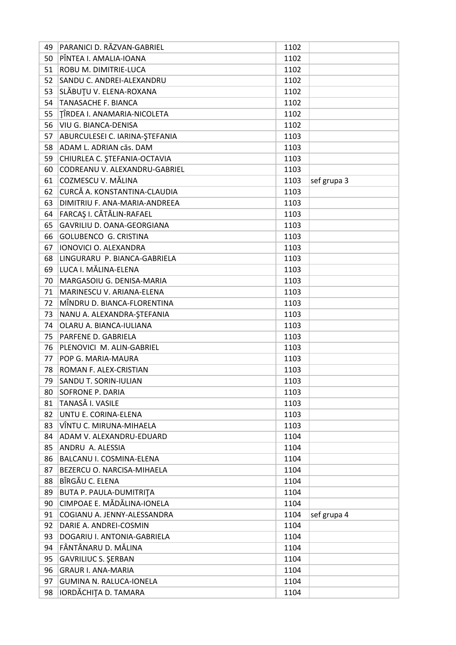| 49       | PARANICI D. RĂZVAN-GABRIEL     | 1102         |             |
|----------|--------------------------------|--------------|-------------|
| 50       | PÎNTEA I. AMALIA-IOANA         | 1102         |             |
| 51       | ROBU M. DIMITRIE-LUCA          | 1102         |             |
| 52       | SANDU C. ANDREI-ALEXANDRU      | 1102         |             |
| 53       | SLĂBUȚU V. ELENA-ROXANA        | 1102         |             |
| 54       | <b>TANASACHE F. BIANCA</b>     | 1102         |             |
| 55       | TÎRDEA I. ANAMARIA-NICOLETA    | 1102         |             |
| 56       | VIU G. BIANCA-DENISA           | 1102         |             |
| 57       | ABURCULESEI C. IARINA-ŞTEFANIA | 1103         |             |
| 58       | ADAM L. ADRIAN căs. DAM        | 1103         |             |
| 59       | CHIURLEA C. ȘTEFANIA-OCTAVIA   | 1103         |             |
| 60       | CODREANU V. ALEXANDRU-GABRIEL  | 1103         |             |
| 61       | COZMESCU V. MĂLINA             | 1103         | sef grupa 3 |
| 62       | CURCĂ A. KONSTANTINA-CLAUDIA   | 1103         |             |
| 63       | DIMITRIU F. ANA-MARIA-ANDREEA  | 1103         |             |
| 64       | FARCAȘ I. CĂTĂLIN-RAFAEL       | 1103         |             |
| 65       | GAVRILIU D. OANA-GEORGIANA     | 1103         |             |
| 66       | <b>GOLUBENCO G. CRISTINA</b>   | 1103         |             |
| 67       | IONOVICI O. ALEXANDRA          | 1103         |             |
| 68       | LINGURARU P. BIANCA-GABRIELA   | 1103         |             |
| 69       | LUCA I. MĂLINA-ELENA           | 1103         |             |
| 70       | MARGASOIU G. DENISA-MARIA      | 1103         |             |
| 71       | MARINESCU V. ARIANA-ELENA      | 1103         |             |
| 72       | MÎNDRU D. BIANCA-FLORENTINA    | 1103         |             |
| 73       | NANU A. ALEXANDRA-ŞTEFANIA     | 1103         |             |
| 74       | OLARU A. BIANCA-IULIANA        | 1103         |             |
| 75       | PARFENE D. GABRIELA            | 1103         |             |
| 76       | PLENOVICI M. ALIN-GABRIEL      | 1103         |             |
| 77       | POP G. MARIA-MAURA             | 1103         |             |
| 78       | ROMAN F. ALEX-CRISTIAN         | 1103         |             |
| 79       | SANDU T. SORIN-IULIAN          | 1103         |             |
|          | SOFRONE P. DARIA               |              |             |
| 80<br>81 | <b>TANASĂ I. VASILE</b>        | 1103<br>1103 |             |
|          | UNTU E. CORINA-ELENA           |              |             |
| 82       | VÎNTU C. MIRUNA-MIHAELA        | 1103         |             |
| 83       |                                | 1103         |             |
| 84       | ADAM V. ALEXANDRU-EDUARD       | 1104         |             |
| 85       | ANDRU A. ALESSIA               | 1104         |             |
| 86       | BALCANU I. COSMINA-ELENA       | 1104         |             |
| 87       | BEZERCU O. NARCISA-MIHAELA     | 1104         |             |
| 88       | BÎRGĂU C. ELENA                | 1104         |             |
| 89       | <b>BUTA P. PAULA-DUMITRITA</b> | 1104         |             |
| 90       | CIMPOAE E. MĂDĂLINA-IONELA     | 1104         |             |
| 91       | COGIANU A. JENNY-ALESSANDRA    | 1104         | sef grupa 4 |
| 92       | DARIE A. ANDREI-COSMIN         | 1104         |             |
| 93       | DOGARIU I. ANTONIA-GABRIELA    | 1104         |             |
| 94       | FÂNTÂNARU D. MĂLINA            | 1104         |             |
| 95       | <b>GAVRILIUC S. ŞERBAN</b>     | 1104         |             |
| 96       | <b>GRAUR I. ANA-MARIA</b>      | 1104         |             |
| 97       | GUMINA N. RALUCA-IONELA        | 1104         |             |
| 98       | IORDĂCHIȚA D. TAMARA           | 1104         |             |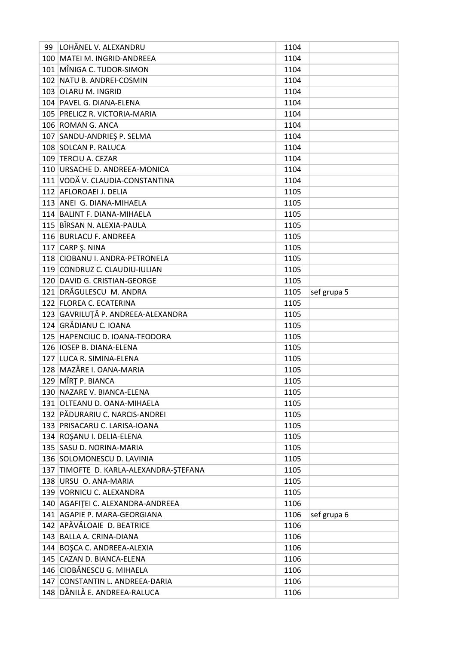| 99 | LOHĂNEL V. ALEXANDRU                   | 1104 |             |
|----|----------------------------------------|------|-------------|
|    | 100 MATEI M. INGRID-ANDREEA            | 1104 |             |
|    | 101 MÎNIGA C. TUDOR-SIMON              | 1104 |             |
|    | 102 NATU B. ANDREI-COSMIN              | 1104 |             |
|    | 103 OLARU M. INGRID                    | 1104 |             |
|    | 104 PAVEL G. DIANA-ELENA               | 1104 |             |
|    | 105 PRELICZ R. VICTORIA-MARIA          | 1104 |             |
|    | 106 ROMAN G. ANCA                      | 1104 |             |
|    | 107 SANDU-ANDRIEŞ P. SELMA             | 1104 |             |
|    | 108 SOLCAN P. RALUCA                   | 1104 |             |
|    | 109 TERCIU A. CEZAR                    | 1104 |             |
|    | 110 URSACHE D. ANDREEA-MONICA          | 1104 |             |
|    | 111 VODĂ V. CLAUDIA-CONSTANTINA        | 1104 |             |
|    | 112 AFLOROAEI J. DELIA                 | 1105 |             |
|    | 113 ANEI G. DIANA-MIHAELA              | 1105 |             |
|    | 114 BALINT F. DIANA-MIHAELA            | 1105 |             |
|    | 115 BÎRSAN N. ALEXIA-PAULA             | 1105 |             |
|    | 116 BURLACU F. ANDREEA                 | 1105 |             |
|    | 117 $CARP S. NINA$                     | 1105 |             |
|    | 118 CIOBANU I. ANDRA-PETRONELA         | 1105 |             |
|    | 119 CONDRUZ C. CLAUDIU-IULIAN          | 1105 |             |
|    | 120 DAVID G. CRISTIAN-GEORGE           | 1105 |             |
|    | 121 DRĂGULESCU M. ANDRA                | 1105 | sef grupa 5 |
|    | 122 FLOREA C. ECATERINA                | 1105 |             |
|    | 123 GAVRILUȚĂ P. ANDREEA-ALEXANDRA     | 1105 |             |
|    | 124 GRĂDIANU C. IOANA                  | 1105 |             |
|    |                                        |      |             |
|    | 125 HAPENCIUC D. IOANA-TEODORA         | 1105 |             |
|    | 126 IOSEP B. DIANA-ELENA               | 1105 |             |
|    | 127 LUCA R. SIMINA-ELENA               | 1105 |             |
|    | 128 MAZĂRE I. OANA-MARIA               | 1105 |             |
|    | 129 MÎRȚ P. BIANCA                     | 1105 |             |
|    | 130 NAZARE V. BIANCA-ELENA             | 1105 |             |
|    | 131 OLTEANU D. OANA-MIHAELA            | 1105 |             |
|    | 132 PĂDURARIU C. NARCIS-ANDREI         | 1105 |             |
|    | 133 PRISACARU C. LARISA-IOANA          | 1105 |             |
|    | 134 ROSANU I. DELIA-ELENA              | 1105 |             |
|    | 135 SASU D. NORINA-MARIA               | 1105 |             |
|    | 136 SOLOMONESCU D. LAVINIA             | 1105 |             |
|    | 137 TIMOFTE D. KARLA-ALEXANDRA-ŞTEFANA | 1105 |             |
|    | 138 URSU O. ANA-MARIA                  | 1105 |             |
|    | 139 VORNICU C. ALEXANDRA               | 1105 |             |
|    | 140 AGAFITEI C. ALEXANDRA-ANDREEA      | 1106 |             |
|    | 141 AGAPIE P. MARA-GEORGIANA           | 1106 | sef grupa 6 |
|    | 142 APĂVĂLOAIE D. BEATRICE             | 1106 |             |
|    | 143 BALLA A. CRINA-DIANA               | 1106 |             |
|    | 144 BOŞCA C. ANDREEA-ALEXIA            | 1106 |             |
|    | 145 CAZAN D. BIANCA-ELENA              | 1106 |             |
|    | 146 CIOBĂNESCU G. MIHAELA              | 1106 |             |
|    | 147 CONSTANTIN L. ANDREEA-DARIA        | 1106 |             |
|    | 148 DĂNILĂ E. ANDREEA-RALUCA           | 1106 |             |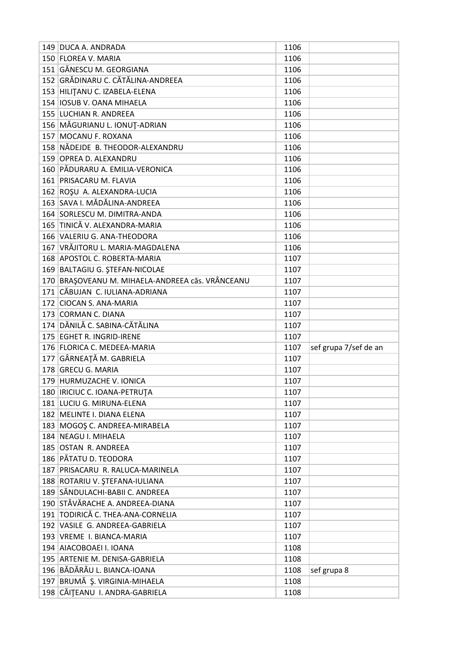| 150 FLOREA V. MARIA<br>1106<br>151 GĂNESCU M. GEORGIANA<br>1106<br>152 GRĂDINARU C. CĂTĂLINA-ANDREEA<br>1106<br>153 HILITANU C. IZABELA-ELENA<br>1106<br>154   IOSUB V. OANA MIHAELA<br>1106<br>155 LUCHIAN R. ANDREEA<br>1106<br>156 MĂGURIANU L. IONUȚ-ADRIAN<br>1106<br>157 MOCANU F. ROXANA<br>1106<br>158 NĂDEJDE B. THEODOR-ALEXANDRU<br>1106<br>159 OPREA D. ALEXANDRU<br>1106<br>160 PĂDURARU A. EMILIA-VERONICA<br>1106<br>161 PRISACARU M. FLAVIA<br>1106<br>162 ROŞU A. ALEXANDRA-LUCIA<br>1106<br>163 SAVA I. MĂDĂLINA-ANDREEA<br>1106<br>164 SORLESCU M. DIMITRA-ANDA<br>1106<br>165 TINICĂ V. ALEXANDRA-MARIA<br>1106<br>166 VALERIU G. ANA-THEODORA<br>1106<br>167 VRĂJITORU L. MARIA-MAGDALENA<br>1106<br>168 APOSTOL C. ROBERTA-MARIA<br>1107<br>169 BALTAGIU G. ȘTEFAN-NICOLAE<br>1107<br>170 BRAȘOVEANU M. MIHAELA-ANDREEA căs. VRÂNCEANU<br>1107<br>171 CĂBUJAN C. IULIANA-ADRIANA<br>1107<br>172 CIOCAN S. ANA-MARIA<br>1107<br>173 CORMAN C. DIANA<br>1107<br>174 DĂNILĂ C. SABINA-CĂTĂLINA<br>1107<br>175 EGHET R. INGRID-IRENE<br>1107<br>176 FLORICA C. MEDEEA-MARIA<br>1107<br>sef grupa 7/sef de an<br>177 GÂRNEAȚĂ M. GABRIELA<br>1107<br>178 GRECU G. MARIA<br>1107<br>179 HURMUZACHE V. IONICA<br>1107<br>180   IRICIUC C. IOANA-PETRUȚA<br>1107<br>181 LUCIU G. MIRUNA-ELENA<br>1107<br>182 MELINTE I. DIANA ELENA<br>1107<br>183 MOGOS C. ANDREEA-MIRABELA<br>1107<br>184 NEAGU I. MIHAELA<br>1107<br>185 OSTAN R. ANDREEA<br>1107<br>186   PĂTATU D. TEODORA<br>1107<br>187 PRISACARU R. RALUCA-MARINELA<br>1107<br>188 ROTARIU V. ȘTEFANA-IULIANA<br>1107<br>189 SĂNDULACHI-BABII C. ANDREEA<br>1107<br>190 STĂVĂRACHE A. ANDREEA-DIANA<br>1107<br>191 TODIRICĂ C. THEA-ANA-CORNELIA<br>1107<br>192 VASILE G. ANDREEA-GABRIELA<br>1107<br>193 VREME I. BIANCA-MARIA<br>1107<br>194 AIACOBOAEI I. IOANA<br>1108<br>195 ARTENIE M. DENISA-GABRIELA<br>1108<br>196 BĂDĂRĂU L. BIANCA-IOANA<br>1108<br>sef grupa 8<br>197 BRUMĂ Ș. VIRGINIA-MIHAELA<br>1108<br>198 CĂIȚEANU I. ANDRA-GABRIELA<br>1108 | 149 DUCA A. ANDRADA | 1106 |  |
|-------------------------------------------------------------------------------------------------------------------------------------------------------------------------------------------------------------------------------------------------------------------------------------------------------------------------------------------------------------------------------------------------------------------------------------------------------------------------------------------------------------------------------------------------------------------------------------------------------------------------------------------------------------------------------------------------------------------------------------------------------------------------------------------------------------------------------------------------------------------------------------------------------------------------------------------------------------------------------------------------------------------------------------------------------------------------------------------------------------------------------------------------------------------------------------------------------------------------------------------------------------------------------------------------------------------------------------------------------------------------------------------------------------------------------------------------------------------------------------------------------------------------------------------------------------------------------------------------------------------------------------------------------------------------------------------------------------------------------------------------------------------------------------------------------------------------------------------------------------------------------------------------------------------------------------------------------------------------------------------------------------------------------------|---------------------|------|--|
|                                                                                                                                                                                                                                                                                                                                                                                                                                                                                                                                                                                                                                                                                                                                                                                                                                                                                                                                                                                                                                                                                                                                                                                                                                                                                                                                                                                                                                                                                                                                                                                                                                                                                                                                                                                                                                                                                                                                                                                                                                     |                     |      |  |
|                                                                                                                                                                                                                                                                                                                                                                                                                                                                                                                                                                                                                                                                                                                                                                                                                                                                                                                                                                                                                                                                                                                                                                                                                                                                                                                                                                                                                                                                                                                                                                                                                                                                                                                                                                                                                                                                                                                                                                                                                                     |                     |      |  |
|                                                                                                                                                                                                                                                                                                                                                                                                                                                                                                                                                                                                                                                                                                                                                                                                                                                                                                                                                                                                                                                                                                                                                                                                                                                                                                                                                                                                                                                                                                                                                                                                                                                                                                                                                                                                                                                                                                                                                                                                                                     |                     |      |  |
|                                                                                                                                                                                                                                                                                                                                                                                                                                                                                                                                                                                                                                                                                                                                                                                                                                                                                                                                                                                                                                                                                                                                                                                                                                                                                                                                                                                                                                                                                                                                                                                                                                                                                                                                                                                                                                                                                                                                                                                                                                     |                     |      |  |
|                                                                                                                                                                                                                                                                                                                                                                                                                                                                                                                                                                                                                                                                                                                                                                                                                                                                                                                                                                                                                                                                                                                                                                                                                                                                                                                                                                                                                                                                                                                                                                                                                                                                                                                                                                                                                                                                                                                                                                                                                                     |                     |      |  |
|                                                                                                                                                                                                                                                                                                                                                                                                                                                                                                                                                                                                                                                                                                                                                                                                                                                                                                                                                                                                                                                                                                                                                                                                                                                                                                                                                                                                                                                                                                                                                                                                                                                                                                                                                                                                                                                                                                                                                                                                                                     |                     |      |  |
|                                                                                                                                                                                                                                                                                                                                                                                                                                                                                                                                                                                                                                                                                                                                                                                                                                                                                                                                                                                                                                                                                                                                                                                                                                                                                                                                                                                                                                                                                                                                                                                                                                                                                                                                                                                                                                                                                                                                                                                                                                     |                     |      |  |
|                                                                                                                                                                                                                                                                                                                                                                                                                                                                                                                                                                                                                                                                                                                                                                                                                                                                                                                                                                                                                                                                                                                                                                                                                                                                                                                                                                                                                                                                                                                                                                                                                                                                                                                                                                                                                                                                                                                                                                                                                                     |                     |      |  |
|                                                                                                                                                                                                                                                                                                                                                                                                                                                                                                                                                                                                                                                                                                                                                                                                                                                                                                                                                                                                                                                                                                                                                                                                                                                                                                                                                                                                                                                                                                                                                                                                                                                                                                                                                                                                                                                                                                                                                                                                                                     |                     |      |  |
|                                                                                                                                                                                                                                                                                                                                                                                                                                                                                                                                                                                                                                                                                                                                                                                                                                                                                                                                                                                                                                                                                                                                                                                                                                                                                                                                                                                                                                                                                                                                                                                                                                                                                                                                                                                                                                                                                                                                                                                                                                     |                     |      |  |
|                                                                                                                                                                                                                                                                                                                                                                                                                                                                                                                                                                                                                                                                                                                                                                                                                                                                                                                                                                                                                                                                                                                                                                                                                                                                                                                                                                                                                                                                                                                                                                                                                                                                                                                                                                                                                                                                                                                                                                                                                                     |                     |      |  |
|                                                                                                                                                                                                                                                                                                                                                                                                                                                                                                                                                                                                                                                                                                                                                                                                                                                                                                                                                                                                                                                                                                                                                                                                                                                                                                                                                                                                                                                                                                                                                                                                                                                                                                                                                                                                                                                                                                                                                                                                                                     |                     |      |  |
|                                                                                                                                                                                                                                                                                                                                                                                                                                                                                                                                                                                                                                                                                                                                                                                                                                                                                                                                                                                                                                                                                                                                                                                                                                                                                                                                                                                                                                                                                                                                                                                                                                                                                                                                                                                                                                                                                                                                                                                                                                     |                     |      |  |
|                                                                                                                                                                                                                                                                                                                                                                                                                                                                                                                                                                                                                                                                                                                                                                                                                                                                                                                                                                                                                                                                                                                                                                                                                                                                                                                                                                                                                                                                                                                                                                                                                                                                                                                                                                                                                                                                                                                                                                                                                                     |                     |      |  |
|                                                                                                                                                                                                                                                                                                                                                                                                                                                                                                                                                                                                                                                                                                                                                                                                                                                                                                                                                                                                                                                                                                                                                                                                                                                                                                                                                                                                                                                                                                                                                                                                                                                                                                                                                                                                                                                                                                                                                                                                                                     |                     |      |  |
|                                                                                                                                                                                                                                                                                                                                                                                                                                                                                                                                                                                                                                                                                                                                                                                                                                                                                                                                                                                                                                                                                                                                                                                                                                                                                                                                                                                                                                                                                                                                                                                                                                                                                                                                                                                                                                                                                                                                                                                                                                     |                     |      |  |
|                                                                                                                                                                                                                                                                                                                                                                                                                                                                                                                                                                                                                                                                                                                                                                                                                                                                                                                                                                                                                                                                                                                                                                                                                                                                                                                                                                                                                                                                                                                                                                                                                                                                                                                                                                                                                                                                                                                                                                                                                                     |                     |      |  |
|                                                                                                                                                                                                                                                                                                                                                                                                                                                                                                                                                                                                                                                                                                                                                                                                                                                                                                                                                                                                                                                                                                                                                                                                                                                                                                                                                                                                                                                                                                                                                                                                                                                                                                                                                                                                                                                                                                                                                                                                                                     |                     |      |  |
|                                                                                                                                                                                                                                                                                                                                                                                                                                                                                                                                                                                                                                                                                                                                                                                                                                                                                                                                                                                                                                                                                                                                                                                                                                                                                                                                                                                                                                                                                                                                                                                                                                                                                                                                                                                                                                                                                                                                                                                                                                     |                     |      |  |
|                                                                                                                                                                                                                                                                                                                                                                                                                                                                                                                                                                                                                                                                                                                                                                                                                                                                                                                                                                                                                                                                                                                                                                                                                                                                                                                                                                                                                                                                                                                                                                                                                                                                                                                                                                                                                                                                                                                                                                                                                                     |                     |      |  |
|                                                                                                                                                                                                                                                                                                                                                                                                                                                                                                                                                                                                                                                                                                                                                                                                                                                                                                                                                                                                                                                                                                                                                                                                                                                                                                                                                                                                                                                                                                                                                                                                                                                                                                                                                                                                                                                                                                                                                                                                                                     |                     |      |  |
|                                                                                                                                                                                                                                                                                                                                                                                                                                                                                                                                                                                                                                                                                                                                                                                                                                                                                                                                                                                                                                                                                                                                                                                                                                                                                                                                                                                                                                                                                                                                                                                                                                                                                                                                                                                                                                                                                                                                                                                                                                     |                     |      |  |
|                                                                                                                                                                                                                                                                                                                                                                                                                                                                                                                                                                                                                                                                                                                                                                                                                                                                                                                                                                                                                                                                                                                                                                                                                                                                                                                                                                                                                                                                                                                                                                                                                                                                                                                                                                                                                                                                                                                                                                                                                                     |                     |      |  |
|                                                                                                                                                                                                                                                                                                                                                                                                                                                                                                                                                                                                                                                                                                                                                                                                                                                                                                                                                                                                                                                                                                                                                                                                                                                                                                                                                                                                                                                                                                                                                                                                                                                                                                                                                                                                                                                                                                                                                                                                                                     |                     |      |  |
|                                                                                                                                                                                                                                                                                                                                                                                                                                                                                                                                                                                                                                                                                                                                                                                                                                                                                                                                                                                                                                                                                                                                                                                                                                                                                                                                                                                                                                                                                                                                                                                                                                                                                                                                                                                                                                                                                                                                                                                                                                     |                     |      |  |
|                                                                                                                                                                                                                                                                                                                                                                                                                                                                                                                                                                                                                                                                                                                                                                                                                                                                                                                                                                                                                                                                                                                                                                                                                                                                                                                                                                                                                                                                                                                                                                                                                                                                                                                                                                                                                                                                                                                                                                                                                                     |                     |      |  |
|                                                                                                                                                                                                                                                                                                                                                                                                                                                                                                                                                                                                                                                                                                                                                                                                                                                                                                                                                                                                                                                                                                                                                                                                                                                                                                                                                                                                                                                                                                                                                                                                                                                                                                                                                                                                                                                                                                                                                                                                                                     |                     |      |  |
|                                                                                                                                                                                                                                                                                                                                                                                                                                                                                                                                                                                                                                                                                                                                                                                                                                                                                                                                                                                                                                                                                                                                                                                                                                                                                                                                                                                                                                                                                                                                                                                                                                                                                                                                                                                                                                                                                                                                                                                                                                     |                     |      |  |
|                                                                                                                                                                                                                                                                                                                                                                                                                                                                                                                                                                                                                                                                                                                                                                                                                                                                                                                                                                                                                                                                                                                                                                                                                                                                                                                                                                                                                                                                                                                                                                                                                                                                                                                                                                                                                                                                                                                                                                                                                                     |                     |      |  |
|                                                                                                                                                                                                                                                                                                                                                                                                                                                                                                                                                                                                                                                                                                                                                                                                                                                                                                                                                                                                                                                                                                                                                                                                                                                                                                                                                                                                                                                                                                                                                                                                                                                                                                                                                                                                                                                                                                                                                                                                                                     |                     |      |  |
|                                                                                                                                                                                                                                                                                                                                                                                                                                                                                                                                                                                                                                                                                                                                                                                                                                                                                                                                                                                                                                                                                                                                                                                                                                                                                                                                                                                                                                                                                                                                                                                                                                                                                                                                                                                                                                                                                                                                                                                                                                     |                     |      |  |
|                                                                                                                                                                                                                                                                                                                                                                                                                                                                                                                                                                                                                                                                                                                                                                                                                                                                                                                                                                                                                                                                                                                                                                                                                                                                                                                                                                                                                                                                                                                                                                                                                                                                                                                                                                                                                                                                                                                                                                                                                                     |                     |      |  |
|                                                                                                                                                                                                                                                                                                                                                                                                                                                                                                                                                                                                                                                                                                                                                                                                                                                                                                                                                                                                                                                                                                                                                                                                                                                                                                                                                                                                                                                                                                                                                                                                                                                                                                                                                                                                                                                                                                                                                                                                                                     |                     |      |  |
|                                                                                                                                                                                                                                                                                                                                                                                                                                                                                                                                                                                                                                                                                                                                                                                                                                                                                                                                                                                                                                                                                                                                                                                                                                                                                                                                                                                                                                                                                                                                                                                                                                                                                                                                                                                                                                                                                                                                                                                                                                     |                     |      |  |
|                                                                                                                                                                                                                                                                                                                                                                                                                                                                                                                                                                                                                                                                                                                                                                                                                                                                                                                                                                                                                                                                                                                                                                                                                                                                                                                                                                                                                                                                                                                                                                                                                                                                                                                                                                                                                                                                                                                                                                                                                                     |                     |      |  |
|                                                                                                                                                                                                                                                                                                                                                                                                                                                                                                                                                                                                                                                                                                                                                                                                                                                                                                                                                                                                                                                                                                                                                                                                                                                                                                                                                                                                                                                                                                                                                                                                                                                                                                                                                                                                                                                                                                                                                                                                                                     |                     |      |  |
|                                                                                                                                                                                                                                                                                                                                                                                                                                                                                                                                                                                                                                                                                                                                                                                                                                                                                                                                                                                                                                                                                                                                                                                                                                                                                                                                                                                                                                                                                                                                                                                                                                                                                                                                                                                                                                                                                                                                                                                                                                     |                     |      |  |
|                                                                                                                                                                                                                                                                                                                                                                                                                                                                                                                                                                                                                                                                                                                                                                                                                                                                                                                                                                                                                                                                                                                                                                                                                                                                                                                                                                                                                                                                                                                                                                                                                                                                                                                                                                                                                                                                                                                                                                                                                                     |                     |      |  |
|                                                                                                                                                                                                                                                                                                                                                                                                                                                                                                                                                                                                                                                                                                                                                                                                                                                                                                                                                                                                                                                                                                                                                                                                                                                                                                                                                                                                                                                                                                                                                                                                                                                                                                                                                                                                                                                                                                                                                                                                                                     |                     |      |  |
|                                                                                                                                                                                                                                                                                                                                                                                                                                                                                                                                                                                                                                                                                                                                                                                                                                                                                                                                                                                                                                                                                                                                                                                                                                                                                                                                                                                                                                                                                                                                                                                                                                                                                                                                                                                                                                                                                                                                                                                                                                     |                     |      |  |
|                                                                                                                                                                                                                                                                                                                                                                                                                                                                                                                                                                                                                                                                                                                                                                                                                                                                                                                                                                                                                                                                                                                                                                                                                                                                                                                                                                                                                                                                                                                                                                                                                                                                                                                                                                                                                                                                                                                                                                                                                                     |                     |      |  |
|                                                                                                                                                                                                                                                                                                                                                                                                                                                                                                                                                                                                                                                                                                                                                                                                                                                                                                                                                                                                                                                                                                                                                                                                                                                                                                                                                                                                                                                                                                                                                                                                                                                                                                                                                                                                                                                                                                                                                                                                                                     |                     |      |  |
|                                                                                                                                                                                                                                                                                                                                                                                                                                                                                                                                                                                                                                                                                                                                                                                                                                                                                                                                                                                                                                                                                                                                                                                                                                                                                                                                                                                                                                                                                                                                                                                                                                                                                                                                                                                                                                                                                                                                                                                                                                     |                     |      |  |
|                                                                                                                                                                                                                                                                                                                                                                                                                                                                                                                                                                                                                                                                                                                                                                                                                                                                                                                                                                                                                                                                                                                                                                                                                                                                                                                                                                                                                                                                                                                                                                                                                                                                                                                                                                                                                                                                                                                                                                                                                                     |                     |      |  |
|                                                                                                                                                                                                                                                                                                                                                                                                                                                                                                                                                                                                                                                                                                                                                                                                                                                                                                                                                                                                                                                                                                                                                                                                                                                                                                                                                                                                                                                                                                                                                                                                                                                                                                                                                                                                                                                                                                                                                                                                                                     |                     |      |  |
|                                                                                                                                                                                                                                                                                                                                                                                                                                                                                                                                                                                                                                                                                                                                                                                                                                                                                                                                                                                                                                                                                                                                                                                                                                                                                                                                                                                                                                                                                                                                                                                                                                                                                                                                                                                                                                                                                                                                                                                                                                     |                     |      |  |
|                                                                                                                                                                                                                                                                                                                                                                                                                                                                                                                                                                                                                                                                                                                                                                                                                                                                                                                                                                                                                                                                                                                                                                                                                                                                                                                                                                                                                                                                                                                                                                                                                                                                                                                                                                                                                                                                                                                                                                                                                                     |                     |      |  |
|                                                                                                                                                                                                                                                                                                                                                                                                                                                                                                                                                                                                                                                                                                                                                                                                                                                                                                                                                                                                                                                                                                                                                                                                                                                                                                                                                                                                                                                                                                                                                                                                                                                                                                                                                                                                                                                                                                                                                                                                                                     |                     |      |  |
|                                                                                                                                                                                                                                                                                                                                                                                                                                                                                                                                                                                                                                                                                                                                                                                                                                                                                                                                                                                                                                                                                                                                                                                                                                                                                                                                                                                                                                                                                                                                                                                                                                                                                                                                                                                                                                                                                                                                                                                                                                     |                     |      |  |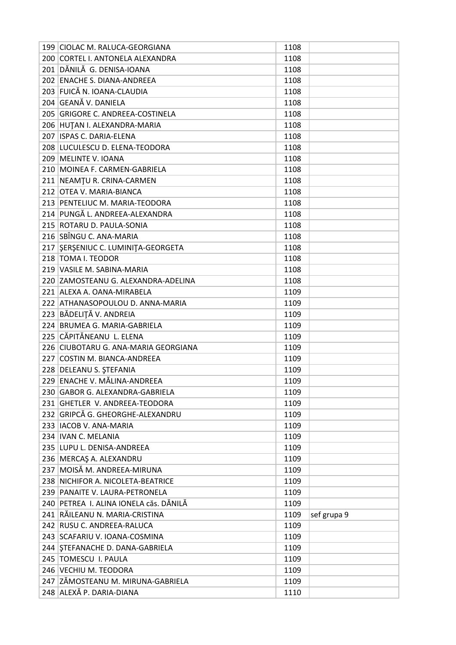| 199 CIOLAC M. RALUCA-GEORGIANA                          | 1108 |             |
|---------------------------------------------------------|------|-------------|
| 200 CORTEL I. ANTONELA ALEXANDRA                        | 1108 |             |
| 201 DĂNILĂ G. DENISA-IOANA                              | 1108 |             |
| 202 ENACHE S. DIANA-ANDREEA                             | 1108 |             |
| 203 FUICĂ N. IOANA-CLAUDIA                              | 1108 |             |
| 204 GEANĂ V. DANIELA                                    | 1108 |             |
| 205 GRIGORE C. ANDREEA-COSTINELA                        | 1108 |             |
| 206 HUTAN I. ALEXANDRA-MARIA                            | 1108 |             |
| 207 ISPAS C. DARIA-ELENA                                | 1108 |             |
| 208 LUCULESCU D. ELENA-TEODORA                          | 1108 |             |
| 209 MELINTE V. IOANA                                    | 1108 |             |
| 210 MOINEA F. CARMEN-GABRIELA                           | 1108 |             |
| 211 NEAMTU R. CRINA-CARMEN                              | 1108 |             |
| 212 OTEA V. MARIA-BIANCA                                | 1108 |             |
| 213 PENTELIUC M. MARIA-TEODORA                          | 1108 |             |
| 214 PUNGĂ L. ANDREEA-ALEXANDRA                          | 1108 |             |
| 215 ROTARU D. PAULA-SONIA                               | 1108 |             |
| 216 SBÎNGU C. ANA-MARIA                                 | 1108 |             |
| 217 SERSENIUC C. LUMINITA-GEORGETA                      | 1108 |             |
| 218 TOMA I. TEODOR                                      | 1108 |             |
| 219 VASILE M. SABINA-MARIA                              | 1108 |             |
| 220 ZAMOSTEANU G. ALEXANDRA-ADELINA                     | 1108 |             |
| 221 ALEXA A. OANA-MIRABELA                              | 1109 |             |
| 222 ATHANASOPOULOU D. ANNA-MARIA                        | 1109 |             |
| 223 BĂDELIȚĂ V. ANDREIA                                 | 1109 |             |
| 224 BRUMEA G. MARIA-GABRIELA                            | 1109 |             |
| 225 CĂPITĂNEANU L. ELENA                                | 1109 |             |
| 226 CIUBOTARU G. ANA-MARIA GEORGIANA                    | 1109 |             |
| 227 COSTIN M. BIANCA-ANDREEA                            | 1109 |             |
| 228 DELEANU S. ȘTEFANIA                                 | 1109 |             |
| 229 ENACHE V. MĂLINA-ANDREEA                            | 1109 |             |
| 230 GABOR G. ALEXANDRA-GABRIELA                         | 1109 |             |
| 231 GHETLER V. ANDREEA-TEODORA                          | 1109 |             |
| 232 GRIPCĂ G. GHEORGHE-ALEXANDRU                        | 1109 |             |
| 233   IACOB V. ANA-MARIA                                | 1109 |             |
| 234   IVAN C. MELANIA                                   | 1109 |             |
| 235 LUPU L. DENISA-ANDREEA                              | 1109 |             |
| 236 MERCAŞ A. ALEXANDRU                                 | 1109 |             |
| 237 MOISĂ M. ANDREEA-MIRUNA                             | 1109 |             |
| 238 NICHIFOR A. NICOLETA-BEATRICE                       | 1109 |             |
| 239 PANAITE V. LAURA-PETRONELA                          | 1109 |             |
| 240 PETREA I. ALINA IONELA căs. DĂNILĂ                  | 1109 |             |
| 241 RĂILEANU N. MARIA-CRISTINA                          | 1109 |             |
| 242 RUSU C. ANDREEA-RALUCA                              | 1109 | sef grupa 9 |
| 243 SCAFARIU V. IOANA-COSMINA                           | 1109 |             |
|                                                         |      |             |
| 244 STEFANACHE D. DANA-GABRIELA<br>245 TOMESCU I. PAULA | 1109 |             |
|                                                         | 1109 |             |
| 246 VECHIU M. TEODORA                                   | 1109 |             |
| 247 ZĂMOSTEANU M. MIRUNA-GABRIELA                       | 1109 |             |
| 248 ALEXĂ P. DARIA-DIANA                                | 1110 |             |